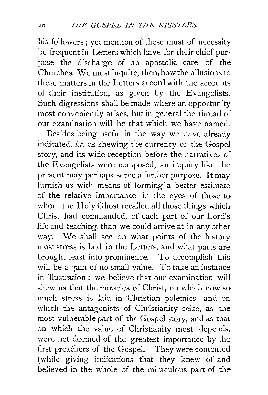his followers ; yet mention of these must of necessity be frequent in Letters which have for their chief purpose the discharge of an apostolic care of the Churches. We must inquire, then; how the allusions to these matters in the Letters accord with the accounts of their institution, as given by the Evangelists. Such digressions shall be made where an opportunity most conveniently arises, but in general the thread of our examination will be that which we have named.

Besides being useful in the way we have already indicated, *i.e.* as shewing the currency of the Gospel story, and its wide reception before the narratives of the Evangelists were composed, an inquiry like the present may perhaps serve a further purpose. It may furnish us with means of forming a better estimate oi the relative importance, in the eyes of those to whom the Holy Ghost recalled all those things which Christ had commanded, of each part of our Lord's life and teaching, than we could arrive at in any other way. We shall see on what points of the history most stress is laid in the Letters, and what parts are brought least into prominence. . To accomplish this will be a gain of no small value. To take an instance in illustration : we believe that our examination will shew us that the miracles of Christ, on which now so much stress is laid in Christian polemics, and on which the antagonists of Christianity seize, as the most vulnerable part of the Gospel story, and as that on which the value of Christianity most depends, were not deemed of the greatest importance by the first preachers of the Gospel. They were contented (while giving indications that they knew of and believed in the whole of the miraculous part of the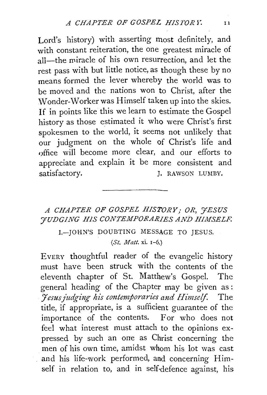Lord's history) with asserting *most* definitely, and with constant reiteration, the one greatest miracle of all—the miracle of his own resurrection, and let the rest pass with but little notice, as though these by no means formed the lever whereby the world was to be moved and the nations won to Christ, after the Wonder-Worker was Himself taken up into the skies. If in points like this we learn to estimate the Gospel history as those estimated it who were Christ's first spokesmen to the world, it seems not unlikely that our judgment on the whole of Christ's life and office will become more clear, and our efforts to appreciate and explain it be more consistent and satisfactory. J. RAWSON LUMBY.

## *A CHAPTER OF GOSPEL HISTORY,· OR, 'JESUS YUDGING HIS CONTEMPORARIES AND HIMSELF.* I.-JOHN'S DOUBTING MESSAGE TO JESUS. *(St. Matt.* xi. I-6.)

EVERY thoughtful reader of the evangelic history must have been struck with the contents of the eleventh chapter of St. Matthew's Gospel. The general heading of the Chapter may be given as : *Jesus judging his contemporaries and Himself.* The title, if appropriate, is a sufficient guarantee of the importance of the contents. For who does not feel what interest must attach to the opinions expressed by such an one as Christ concerning the men of his own time, amidst whom his lot was cast and his life-work performed, and concerning Himself in relation to, and in self-defence against, his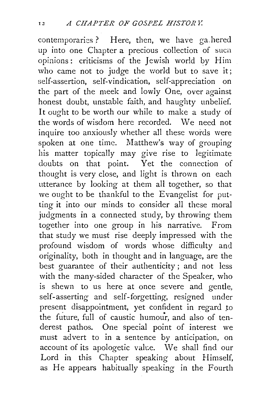contemporaries? Here, then, we have gallered up into one Chapter a precious collection of sucn opinions: criticisms of the Jewish world by Him who came not to judge the world but to save it; self-assertion, self-vindication, self-appreciation on the part of the meek and lowly One, over against honest doubt, unstable faith, and haughty unbelief. It ought to be worth our while to make a study of the words of wisdom here recorded. We need not inquire too anxiously whether all these words were spoken at one time. Matthew's way of grouping his matter topically may give rise to legirimate doubts on that point. Yet the connection of thought is very close, and light is thrown on each utterance by looking at them all together, so that we ought to be thankful to the Evangelist for putting it into our minds to consider all these moral judgments in a connected study, by throwing them together into one group in his narrative. From that study we must rise deeply impressed with the profound wisdom of words whose difficulty and originality, both in thought and in language, are the best guarantee of their authenticity ; and not less with the many-sided character of the Speaker, who is shewn to us here at once severe and gentle, self-asserting and self-forgetting, resigned under present disappointment, yet confident in regard *to*  the future, full of caustic humour, and also of tenderest pathos. One special point of interest we must advert to in a sentence by anticipation, on account of its apologetic value. We shall find our Lord in this Chapter speaking about Himself, as He appears habitually speaking in the Fourth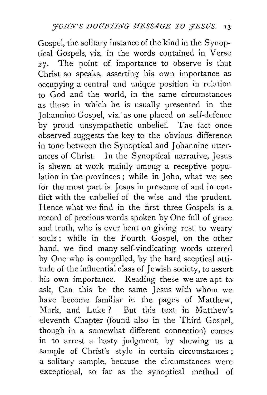Gospel, the solitary instance of the kind in the Synoptical Gospels, viz. in the words contained in  $V$ erse  $27.$  The point of importance to observe is that Christ so speaks, asserting his own importance as occupying a central and unique position in relation to God and the world, in the same circumstances as those in which he is usually presented in the Johannine Gospel, viz. as one placed on self-defence by proud unsympathetic unbelief. The fact once observed suggests the key to the obvious difference in tone between the Synoptical and Johannine utterances of Christ. In the Synoptical narrative, Jesus is shewn at work mainly among a receptive population in the provinces ; while in John, what we see for the most part is Jesus in presence of and in conflict with the unbelief of the wise and the prudent. Hence what we find in the first three Gospels is a record of precious words spoken by One full of grace and truth, who is ever bent on giving rest to weary souls; while in the Fourth Gospel, on the other hand, we find many self-vindicating words uttered by One who is compelled, by the hard sceptical attitude of the influential class of Jewish society, to assert his own importance. Reading these we are apt to ask, Can this be the same Jesus with whom we have become familiar in the pages of Matthew, Mark, and Luke ? But this text in Matthew's eleventh Chapter (found also in the Third Gospel, though in a somewhat different connection) comes in to arrest a hasty judgment, by shewing us a sample of Christ's style in certain circumstances ; a solitary sample, because the circumstances were exceptional, so far as the synoptical method of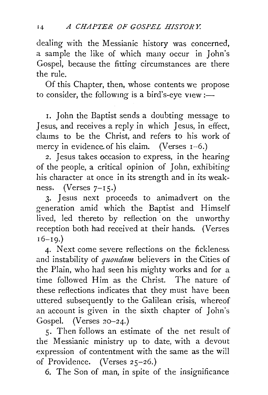dealing with the Messianic history was concerned, a sample the like of which many occur in John's Gospel, because the fitting circumstances are there the rule.

Of this Chapter, then, whose contents we propose to consider, the following is a bird's-eye view: $-$ 

I. John the Baptist sends a doubting message to Jesus, and receives a reply in which Jesus, in effect, claims to be the Christ, and refers to his work of mercy in evidence of his claim. (Verses  $I-6$ .)

2. Jesus takes occasion to express, in the hearing of the people, a critical opinion of John, exhibiting his character at once in its strength and in its weakness. (Verses  $7-15$ .)

3· Jesus next proceeds to animadvert on the generation amid which the Baptist and Himself lived, led thereto by reflection on the unworthy reception both had received at their hands. (Verses  $16 - 19.$ 

4. Next come severe reflections on the fickleness and instability of *quondam* believers in the Cities of the Plain, who had seen his mighty works and for a time followed Him as the Christ. The nature of these reflections indicates that they must have been uttered subsequently to the Galilean crisis, whereof an account is given in the sixth chapter of John's Gospel. (Verses 20-24.)

5· Then follows an estimate of the net result of the Messianic ministry up to date, with a devout expression of contentment with the same as the will of Providence. (Verses 25-26.)

6. The Son of man, in spite of the insignificance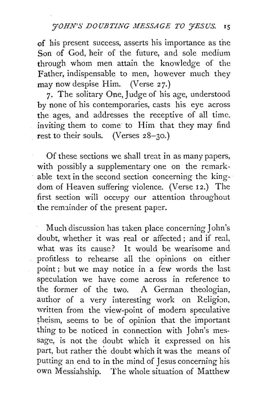of his present success, asserts his importance as tne Son of God, heir of the future, and sole medium through whom men attain the knowledge of the Father, indispensable to men, however much they may now despise Him. (Verse 27.)

7. The solitary One, Judge of his age, understood by none of his contemporaries, casts his eye across the ages, and addresses the receptive of all time. inviting them to come to Him that they may find rest to their souls. (Verses 28-30.)

Of these sections we shall treat in as many papers, with possibly a supplementary one on the remarkable text in the second section concerning the kingdom of Heaven suffering violence. (Verse 12.) The first section will occupy our attention throughout the remainder of the present paper.

Much discussion has taken place concerning John's doubt, whether it was real or affected ; and if real, what was its cause? It would be wearisome and profitless to rehearse all the opinions on either point ; but we may notice in a few words the last speculation we have come across in reference to the former of the two. A German theologian, author of a very interesting work on Religion, written from the view-point of modern speculative theism, seems to be of opinion that the important thing to be noticed in connection with John's message, is not the doubt which it expressed on his part, but rather the doubt which it was the means of putting an end to in the mind of Jesus concerning his own Messiahship. The whole situation of Matthew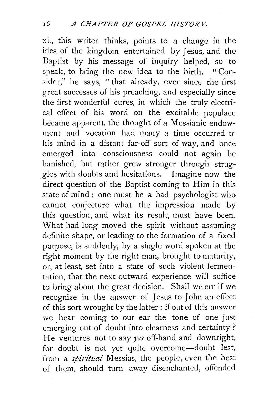xi., this writer thinks, points to a change in the idea of the kingdom entertained by Jesus, and the Baptist by his message of inquiry helped, so to speak, to bring the new idea to the birth. "Consider," he says, " that already, ever since the first great successes of his preaching, and especially since the first wonderful cures, in which the truly electrical effect of his word on the excitable populace became apparent, the thought of a Messianic endowment and vocation had many a time occurred *tc*  his mind in a distant far-off sort of way, and once emerged into consciousness could not again be banished, but rather grew stronger through struggles with doubts and hesitations. Imagine now the direct question of the Baptist coming to Him in this state of mind : one must be a bad psychologist who cannot conjecture what the impression made by this question, and what its result, must have been. What had long moved the spirit without assuming definite shape, or leading to the formation of a fixed purpose, is suddenly, by a single word spoken at the right moment by the right man, brought to maturity, or, at least, set into a state of such violent fermentation, that the next outward experience will suffice to bring about the great decision. Shall we err if we recognize in the answer of Jesus to John an effect of this sort wrought by the latter : if out of this answer we hear coming to our ear the tone of one just emerging out of doubt into clearness and certainty? He ventures not to say *yes* off-hand and downright, for doubt is not yet quite overcome-doubt lest, from a *spiritual* Messias, the people, even the best of them, should turn away disenchanted, offended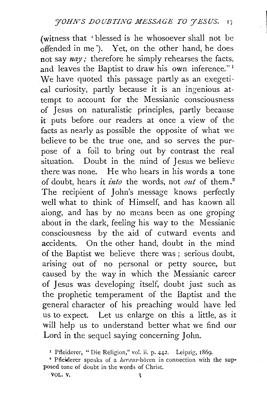(witness that ' blessed is he whosoever shall not be offended in me '). Yet, on the other hand, he does not say *nay* : therefore he simply rehearses the facts, and leaves the Baptist to draw his own inference."<sup>1</sup> We have quoted this passage partly as an exegetical curiosity, partly because it is an ingenious attempt to account for the Messianic consciousness of Jesus on naturalistic principles, partly because it puts before our readers at once a view of the facts as nearly as possible the opposite of what we believe to be the true one, and so serves the purpose of a foil to bring out by contrast the real situation. Doubt in the mind of Jesus we believe there was none. He who hears in his words a tone of doubt, hears it *into* the words, not *out* of them. <sup>2</sup> The recipient of John's message knows perfectly well what to think of Himself, and has known all along, and has by no means been as one groping about in the dark, feeling his way to the Messianic consciousness by the aid of cutward events and accidents. On the other hand, doubt in the mind of the Baptist we believe there was ; serious doubt, arising out of no personal or petty source, but caused by the way in which the Messianic career of Jesus was developing itself, doubt just such as the prophetic temperament of the Baptist and the general character of his preaching would have led us to expect. Let us enlarge on this a little, as it will help us to understand better what we find our Lord in the sequel saying concerning John.

<sup>1</sup>Pfleiderer, "Die Religion," vol. ii. p. 442. Leipzig, 186g.

<sup>&</sup>lt;sup>2</sup> Pfleiderer speaks of a *heraus*-horen in connection with the supposed tone of doubt in the words of Christ.

VOL. V.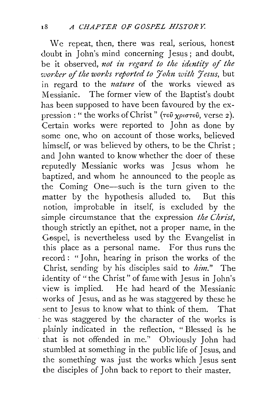We repeat, then, there was real, serious, honest doubt in John's mind concerning Jesus; and doubt, be it observed, not in regard to the identity of the *worker of the works reported to John with Jesus*, but in regard to the *nature* of the works viewed as Messianic. The former view of the Baptist's doubt has been supposed to have been favoured by the expression : " the works of Christ" (roil *xpunov,* verse 2 ). Certain works were reported to John as done by some one, who on account of those works, believed himself, or was believed by others, to be the Christ ; and John wanted to know whether the doer of these reputedly Messianic works was Jesus whom he baptized, and whom he announced to the people as the Coming One-such is the turn given to the matter by the hypothesis alluded to. But this notion, improbable in itself, is excluded by the simple circumstance that the expression *the Christ,*  though strictly an epithet, not a proper name, in the Gospel, is nevertheless used by the Evangelist in this place as a personal name. For thus runs the record : "John, hearing in prison the works of the Christ, sending by his disciples said to *him."* The identity of "the Christ" of fame with Jesus in John's view is implied. He had heard of the Messianic works of Jesus, and as he was staggered by these he sent to Jesus to know what to think of them. That · he was staggered by the character of the works is plainly indicated in the reflection, " Blessed is he that is not offended in me." Obviously John had stumbled at something in the public life of Jesus, and the something was just the works which Jesus sent the disciples of John back to report to their master.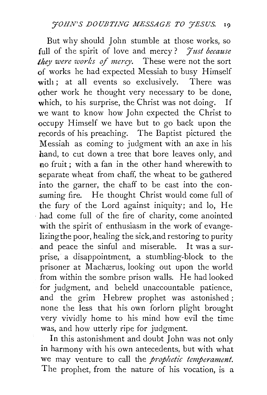But why should John stumble at those works, so full of the spirit of love and mercy? *Just because they were works of mercy.* These were not the sort of works he had expected Messiah to busy Himself with : at all events so exclusively. There was other work he thought very necessary to be done, which, to his surprise, the Christ was not doing. If we want to know how John expected the Christ to occupy Himself we have but to go back upon the records of his preaching. The Baptist pictured the Messiah as coming to judgment with an axe in his hand, to cut down a tree that bore leaves only, and no fruit ; with a fan in the other hand wherewith to separate wheat from chaff, the wheat to be gathered into the garner, the chaff to be cast into the consuming fire. He thought Christ would come full of the fury of the Lord against iniquity; and lo, He had come full of the fire of charity, come anointed with the spirit of enthusiasm in the work of evangelizingthe poor, healing the sick, and restoring to purity and peace the sinful and miserable. It was a surprise, a disappointment, a stumbling-block to the prisoner at Machærus, looking out upon the world from within the sombre prison walls. He had looked for judgment, and beheld unaccountable patience, and the grim Hebrew prophet was astonished; none the less that his own forlorn plight brought very vividly home to his mind how evil the time was, and how utterly ripe for judgment.

In this astonishment and doubt John was not only in harmony with his own antecedents, but with what we may venture to call the *prophetic temperament.*  The prophet, from the nature of his vocation, is a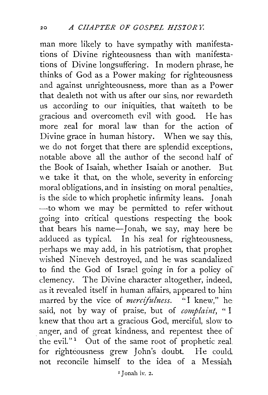man more likely to have sympathy with manifestations of Divine righteousness than with manifestations of Divine longsuffering. In modern phrase, he thinks of God as a Power making for righteousness and against unrighteousness, more than as a Power that dealeth not with us after our sins, nor rewardeth us according to our iniquities, that waiteth to be gracious and overcometh evil with good. He has more zeal for moral law than for the action of Divine grace in human history. When we say this, we do not forget that there are splendid exceptions, notable above all the author of the second half of the Book of Isaiah, whether Isaiah or another. But we take it that, on the whole, severity in enforcing moral obligations, and in insisting on moral penalties,. is the side to which prophetic infirmity leans. Jonah -to whom we may be permitted to refer without going into critical questions respecting the book that bears his name-Jonah, we say, may here be adduced as typical. In his zeal for righteousness,. perhaps we may add, in his patriotism, that prophet wished Nineveh destroyed, and he was scandalized to find the God of Israel going in for a policy of clemency. The Divine character altogether, indeed, as it revealed itself in human affairs, appeared to him marred by the vice of *mercifulness.* "I knew," he said, not by way of praise, but of *complaint,* " I knew that thou art a gracious God, merciful, slow to anger, and of great kindness, and repentest thee of the evil." $1$  Out of the same root of prophetic zeal. for righteousness grew John's doubt. He could. not reconcile himself to the idea of a Messiah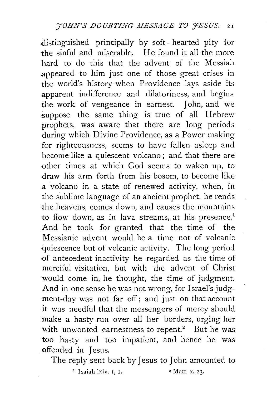distinguished principally by soft-hearted pity for the sinful and miserable. He found it all the more hard to do this that the advent of the Messiah appeared to him just one of those great crises in the world's history when Providence lays aside its apparent indifference and dilatoriness, and begins the work of vengeance in earnest. John, and we suppose the same thing is true of all Hebrew prophets, was aware that there are long periods during which Divine Providence, as a Power making for righteousness, seems to have fallen asleep and become like a quiescent volcano; and that there are -other times at which God seems to waken up, to draw his arm forth from his bosom, to become like a volcano in a state of renewed activity, when, in the sublime language of an ancient prophet, he rends the heavens, comes down, and causes the mountains to flow down, as in lava streams, at his presence.<sup>1</sup> And he took for granted that the time of the Messianic advent would be a time not of volcanic quiescence but of volcanic activity. The long period of antecedent inactivity he regarded as the time of merciful visitation, but with the advent of Christ would come in, he thought, the time of judgment. And in one sense he was not wrong, for Israel's judgment-day was not far off; and just on that account it was needful that the messengers of mercy should make a hasty run over all her borders, urging her with unwonted earnestness to repent.<sup>2</sup> But he was too hasty and too impatient, and hence he was offended in Jesus.

The reply sent back by Jesus to John amounted to

 $\frac{1}{2}$  Isaiah lxiv. 1, 2.  $\frac{2}{2}$  Matt. x. 23.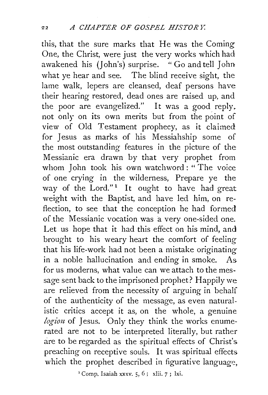this, that the sure marks that He was the Coming One, the Christ, were just the very works which had awakened his (John's) surprise. "Go and tell John what ye hear and see. The blind receive sight, the lame walk, lepers are cleansed, deaf persons have their hearing restored, dead ones are raised up, and the poor are evangelized." It was a good reply. not only on its own merits but from the point of view of Old Testament prophecy, as it claimed for Jesus as marks of his Messiahship some of the most outstanding features in the picture of the Messianic era drawn by that very prophet from whom John took his own watchword : " The voice of one crying in the wilderness, Prepare ye the way of the Lord."<sup>1</sup> It ought to have had great weight with the Baptist, and have led him, on reflection, to see that the conception he had formed of the Messianic vocation was a very one-sided one. Let us hope that it had this effect on his mind, and brought to his weary heart the comfort of feeling that his life-work had not been a mistake originating in a noble hallucination and ending in smoke. As for us moderns, what value can we attach to the message sent back to the imprisoned prophet? Happily we are relieved from the necessity of arguing in behalf of the authenticity of the message, as even naturalistic critics accept it as, on the whole, a genuine *logion* of Jesus. Only they think the works enumerated are not to be interpreted literally, but rather are to be regarded as the spiritual effects of Christ's. preaching on receptive souls. It was spiritual effects. which the prophet described in figurative language,

<sup> $\text{r}$ </sup> Comp. Isaiah xxxv. 5, 6; xlii. 7; 1xi.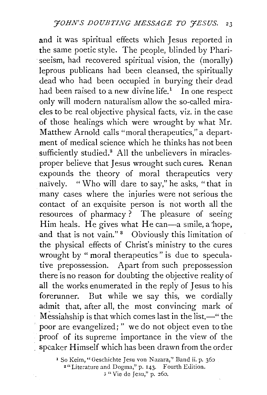and it was spiritual effects which Jesus reported in the same poetic style. The people, blinded by Phariseeism, had recovered spiritual vision, the (morally) leprous publicans had been cleansed, the spiritually dead who had been occupied in burying their dead had been raised to a new divine life.<sup>1</sup> In one respect only will modern naturalism allow the so-called miracles to be real objective physical facts, viz. in the case of those healings which were wrought by what Mr. Matthew Arnold calls "moral therapeutics," a department of medical science which he thinks has not been sufficiently studied.<sup>2</sup> All the unbelievers in miraclesproper believe that Jesus wrought such cures. Renan expounds the theory of moral therapeutics very naively. " Who will dare to say," he asks, "that in many cases where the injuries were not serious the contact of an exquisite person is not worth all the resources of pharmacy ? The pleasure of seeing Him heals. He gives what He can-a smile, a hope, and that is not vain."<sup>8</sup> Obviously this limitation of the physical effects of Christ's ministry to the cures wrought by " moral therapeutics" is due to speculative prepossession. Apart from such prepossession there is no reason for doubting the objective reality of all the works enumerated in the reply of Jesus to his forerunner. But while we say this, we cordially admit that, after all, the most convincing mark of Messiahship is that which comes last in the list, $-$ " the poor are evangelized; " we do not object even to the proof of its supreme importance in the view of the speaker Himself which has been drawn from the order

<sup>1</sup> So Keim, " Geschichte Jesu von Nazara," Band ii. p. 360

2" Literature and Dogma," p. 143. Fourth Edition.

3 " Vie de Jesu," p. 260.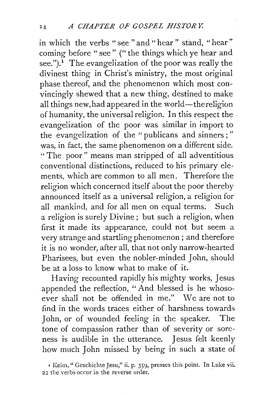in which the verbs "see "and" hear" stand, "hear" coming before "see" ("the things which ye hear and see.").<sup> $\tilde{I}$ </sup> The evangelization of the poor was really the divinest thing in Christ's ministry, the most original phase thereof, and the phenomenon which most convincingly shewed that a new thing, destined to make all things new, had appeared in the world—the religion of humanity, the universal religion. In this respect the evangelization of the poor was similar in import to the evangelization of the "publicans and sinners ; " was, in fact, the same phenomenon on a different side. "The poor" means man stripped of all adventitious conventional distinctions, reduced to his primary elements, which are common to all men. Therefore the religion which concerned itself about the poor thereby announced itself as a universal religion, a religion for all mankind, and for all men on equal terms. Such a religion is surely Divine; but such a religion, when first it made its appearance, could not but seem a very strange and startling phenomenon ; and therefore it is no wonder, after all, that not only narrow-hearted Pharisees, but even the nobler-minded John, should be at a loss to know what to make of it.

Having recounted rapidly his mighty works, Jesus appended the reflection, ''And blessed is he whosoever shall not be offended in me." \Ve are not to find in the words traces either of harshness towards John, or of wounded feeling in the speaker. The tone of compassion rather than of severity or soreness is audible in the utterance. Jesus felt keenly how much John missed by being in such a state of

<sup>&#</sup>x27; Keim," Geschichte Jesu," ii. p. 359, presses this point. In Luke vii. 22 the verbs occur in the reverse order.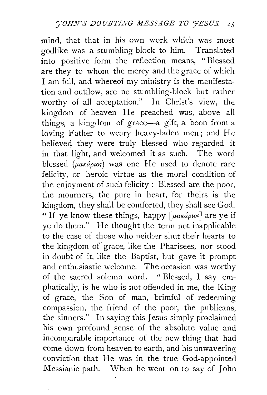mind, that that in his own work which was most godlike was a stumbling-block to him. Translated into positive form the reflection means, "Blessed are they to whom the mercy and the grace of which I am full, and whereof my ministry is the manifestation and outflow, are no stumbling-block but rather worthy of all acceptation." In Christ's view, the. kingdom of heaven He preached was, above all things, a kingdom of grace-a gift, a boon from a loving Father to weary heavy-laden men; and He believed they were truly blessed who regarded it in that light, and welcomed it as such. The word blessed ( $\mu$ akápios) was one He used to denote rare felicity, or heroic virtue as the moral condition of the enjoyment of such felicity : Blessed are the poor, the mourners, the pure in heart, for theirs is the kingdom, they shall be comforted, they shall see God. " If ye know these things, happy  $\lceil \mu \frac{\alpha \kappa}{\varphi} \frac{\omega}{\alpha} \rceil$  are ye if ye do them." He thought the term not inapplicable to the case of those who neither shut their hearts to the kingdom of grace, like the Pharisees, nor stood in doubt of it, like the Baptist, but gave it prompt and enthusiastic welcome. The occasion was worthy of the sacred solemn word. " Blessed, I say emphatically, is he who is not offended in me, the King of grace, the Son of man, brimful of redeeming compassion, the friend of the poor, the publicans, the sinners." In saying this Jesus simply proclaimed his own profound sense of the absolute value and incomparable importance of the new thing that had come down from heaven to earth, and his unwavering conviction that He was in the true God-appointed Messianic path. When he went on to say of John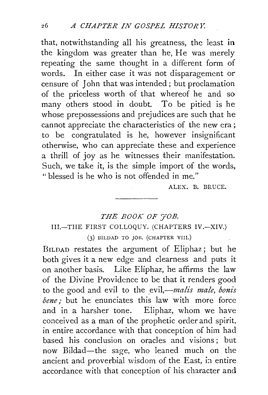that, notwithstanding all his greatness, the least in the kingdom was greater than he, He was merely repeating the same thought in a different form of words. In either case it was not disparagement or censure of John that was intended ; but proclamation of the priceless worth of that whereof he and so many others stood in doubt. To be pitied is he whose prepossessions and prejudices are such that he cannot appreciate the characteristics of the new era ; to be congratulated is he, however insignificant otherwise, who can appreciate these and experience a thrill of joy as he witnesses their manifestation. Such, we take it, is the simple import of the words, "blessed is he who is not offended in me."

ALEX. B. BRUCE.

## *THE BOOK OF 'JOB.*  III.-THE FIRST COLLOQUY. (CHAPTERS IV.-XIV.)

 $(3)$  BILDAD TO JOB. (CHAPTER VIII.)

BILDAD restates the argument of Eliphaz; but he both gives it a new edge and clearness and puts it on another basis. Like Eliphaz, he affirms the law of the Divine Providence to be that it renders good to the good and evil to the evil,—*malis male, bonis bene;* but he enunciates this law with more force and in a harsher tone. Eliphaz, whom we have conceived as a man of the prophetic order and spirit, in entire accordance with that conception of him had based his conclusion on oracles and visions; but now Bildad-the sage, who leaned much on the ancient and proverbial wisdom of the East, in entire accordance with that conception of his character and